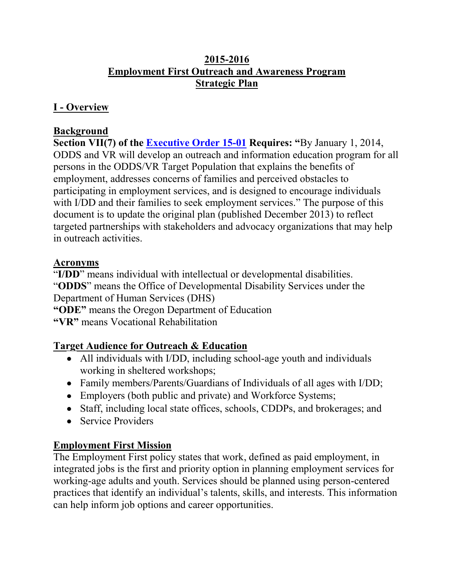### **I - Overview**

### **Background**

**Section VII(7) of the [Executive Order 15-01](http://www.oregon.gov/gov/Documents/executive_orders/eo_15_01.pdf) Requires: "**By January 1, 2014, ODDS and VR will develop an outreach and information education program for all persons in the ODDS/VR Target Population that explains the benefits of employment, addresses concerns of families and perceived obstacles to participating in employment services, and is designed to encourage individuals with I/DD and their families to seek employment services." The purpose of this document is to update the original plan (published December 2013) to reflect targeted partnerships with stakeholders and advocacy organizations that may help in outreach activities.

### **Acronyms**

"**I/DD**" means individual with intellectual or developmental disabilities. "**ODDS**" means the Office of Developmental Disability Services under the Department of Human Services (DHS)

**"ODE"** means the Oregon Department of Education

**"VR"** means Vocational Rehabilitation

## **Target Audience for Outreach & Education**

- All individuals with I/DD, including school-age youth and individuals working in sheltered workshops;
- Family members/Parents/Guardians of Individuals of all ages with I/DD;
- Employers (both public and private) and Workforce Systems;
- Staff, including local state offices, schools, CDDPs, and brokerages; and
- Service Providers

### **Employment First Mission**

The Employment First policy states that work, defined as paid employment, in integrated jobs is the first and priority option in planning employment services for working-age adults and youth. Services should be planned using person-centered practices that identify an individual's talents, skills, and interests. This information can help inform job options and career opportunities.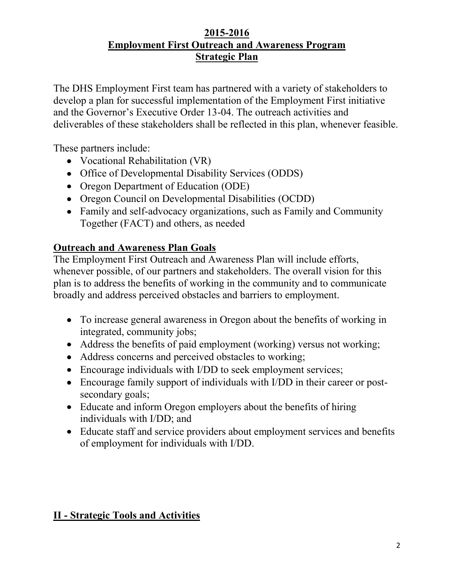The DHS Employment First team has partnered with a variety of stakeholders to develop a plan for successful implementation of the Employment First initiative and the Governor's Executive Order 13-04. The outreach activities and deliverables of these stakeholders shall be reflected in this plan, whenever feasible.

These partners include:

- Vocational Rehabilitation (VR)
- Office of Developmental Disability Services (ODDS)
- Oregon Department of Education (ODE)
- Oregon Council on Developmental Disabilities (OCDD)
- Family and self-advocacy organizations, such as Family and Community Together (FACT) and others, as needed

# **Outreach and Awareness Plan Goals**

The Employment First Outreach and Awareness Plan will include efforts, whenever possible, of our partners and stakeholders. The overall vision for this plan is to address the benefits of working in the community and to communicate broadly and address perceived obstacles and barriers to employment.

- To increase general awareness in Oregon about the benefits of working in integrated, community jobs;
- Address the benefits of paid employment (working) versus not working;
- Address concerns and perceived obstacles to working;
- Encourage individuals with I/DD to seek employment services;
- Encourage family support of individuals with I/DD in their career or postsecondary goals;
- Educate and inform Oregon employers about the benefits of hiring individuals with I/DD; and
- Educate staff and service providers about employment services and benefits of employment for individuals with I/DD.

# **II - Strategic Tools and Activities**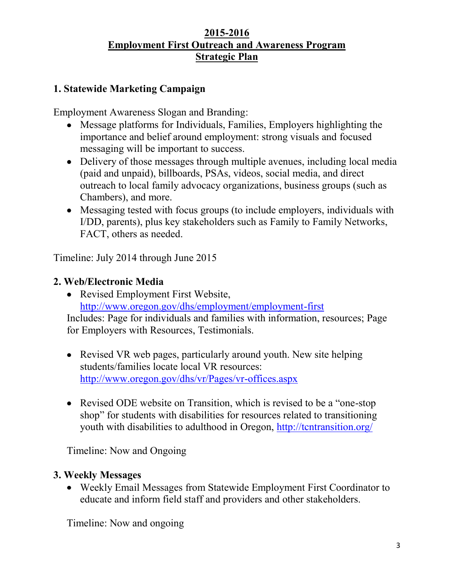### **1. Statewide Marketing Campaign**

Employment Awareness Slogan and Branding:

- Message platforms for Individuals, Families, Employers highlighting the importance and belief around employment: strong visuals and focused messaging will be important to success.
- Delivery of those messages through multiple avenues, including local media (paid and unpaid), billboards, PSAs, videos, social media, and direct outreach to local family advocacy organizations, business groups (such as Chambers), and more.
- Messaging tested with focus groups (to include employers, individuals with I/DD, parents), plus key stakeholders such as Family to Family Networks, FACT, others as needed.

Timeline: July 2014 through June 2015

### **2. Web/Electronic Media**

• Revised Employment First Website, <http://www.oregon.gov/dhs/employment/employment-first>

Includes: Page for individuals and families with information, resources; Page for Employers with Resources, Testimonials.

- Revised VR web pages, particularly around youth. New site helping students/families locate local VR resources: <http://www.oregon.gov/dhs/vr/Pages/vr-offices.aspx>
- Revised ODE website on Transition, which is revised to be a "one-stop" shop" for students with disabilities for resources related to transitioning youth with disabilities to adulthood in Oregon,<http://tcntransition.org/>

Timeline: Now and Ongoing

### **3. Weekly Messages**

Weekly Email Messages from Statewide Employment First Coordinator to educate and inform field staff and providers and other stakeholders.

Timeline: Now and ongoing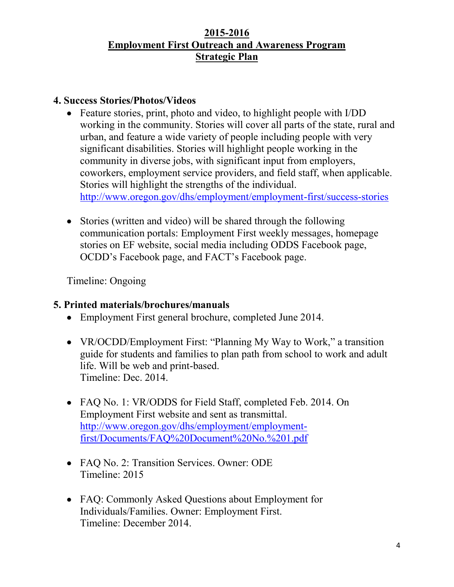#### **4. Success Stories/Photos/Videos**

- Feature stories, print, photo and video, to highlight people with I/DD working in the community. Stories will cover all parts of the state, rural and urban, and feature a wide variety of people including people with very significant disabilities. Stories will highlight people working in the community in diverse jobs, with significant input from employers, coworkers, employment service providers, and field staff, when applicable. Stories will highlight the strengths of the individual. <http://www.oregon.gov/dhs/employment/employment-first/success-stories>
- Stories (written and video) will be shared through the following communication portals: Employment First weekly messages, homepage stories on EF website, social media including ODDS Facebook page, OCDD's Facebook page, and FACT's Facebook page.

Timeline: Ongoing

### **5. Printed materials/brochures/manuals**

- Employment First general brochure, completed June 2014.
- VR/OCDD/Employment First: "Planning My Way to Work," a transition guide for students and families to plan path from school to work and adult life. Will be web and print-based. Timeline: Dec. 2014.
- FAQ No. 1: VR/ODDS for Field Staff, completed Feb. 2014. On Employment First website and sent as transmittal. [http://www.oregon.gov/dhs/employment/employment](http://www.oregon.gov/dhs/employment/employment-first/Documents/FAQ%20Document%20No.%201.pdf)[first/Documents/FAQ%20Document%20No.%201.pdf](http://www.oregon.gov/dhs/employment/employment-first/Documents/FAQ%20Document%20No.%201.pdf)
- FAQ No. 2: Transition Services. Owner: ODE Timeline: 2015
- FAQ: Commonly Asked Questions about Employment for Individuals/Families. Owner: Employment First. Timeline: December 2014.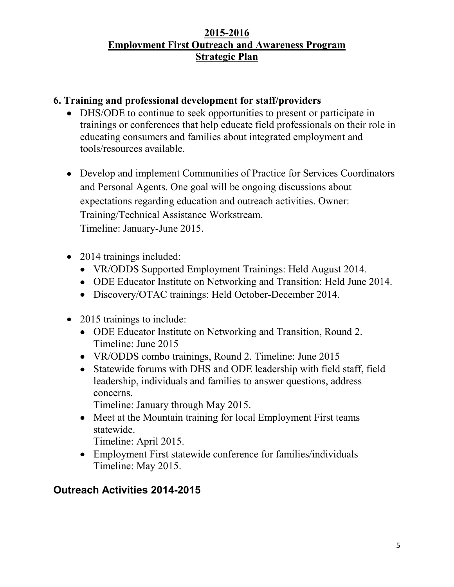### **6. Training and professional development for staff/providers**

- DHS/ODE to continue to seek opportunities to present or participate in trainings or conferences that help educate field professionals on their role in educating consumers and families about integrated employment and tools/resources available.
- Develop and implement Communities of Practice for Services Coordinators and Personal Agents. One goal will be ongoing discussions about expectations regarding education and outreach activities. Owner: Training/Technical Assistance Workstream. Timeline: January-June 2015.
- 2014 trainings included:
	- VR/ODDS Supported Employment Trainings: Held August 2014.
	- ODE Educator Institute on Networking and Transition: Held June 2014.
	- Discovery/OTAC trainings: Held October-December 2014.
- 2015 trainings to include:
	- ODE Educator Institute on Networking and Transition, Round 2. Timeline: June 2015
	- VR/ODDS combo trainings, Round 2. Timeline: June 2015
	- Statewide forums with DHS and ODE leadership with field staff, field leadership, individuals and families to answer questions, address concerns.

Timeline: January through May 2015.

• Meet at the Mountain training for local Employment First teams statewide.

Timeline: April 2015.

Employment First statewide conference for families/individuals Timeline: May 2015.

## **Outreach Activities 2014-2015**